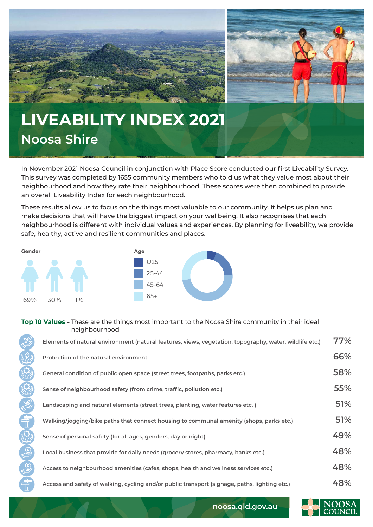

## **LIVEABILITY INDEX 2021 Noosa Shire**

In November 2021 Noosa Council in conjunction with Place Score conducted our first Liveability Survey. This survey was completed by 1655 community members who told us what they value most about their neighbourhood and how they rate their neighbourhood. These scores were then combined to provide an overall Liveability Index for each neighbourhood.

These results allow us to focus on the things most valuable to our community. It helps us plan and make decisions that will have the biggest impact on your wellbeing. It also recognises that each neighbourhood is different with individual values and experiences. By planning for liveability, we provide safe, healthy, active and resilient communities and places.



## **Top 10 Values** – These are the things most important to the Noosa Shire community in their ideal neighbourhood:

|                  | Elements of natural environment (natural features, views, vegetation, topography, water, wildlife etc.) | 77% |
|------------------|---------------------------------------------------------------------------------------------------------|-----|
|                  | Protection of the natural environment                                                                   | 66% |
|                  | General condition of public open space (street trees, footpaths, parks etc.)                            | 58% |
|                  | Sense of neighbourhood safety (from crime, traffic, pollution etc.)                                     | 55% |
|                  | Landscaping and natural elements (street trees, planting, water features etc.)                          | 51% |
| يبو              | Walking/jogging/bike paths that connect housing to communal amenity (shops, parks etc.)                 | 51% |
|                  | Sense of personal safety (for all ages, genders, day or night)                                          | 49% |
|                  | Local business that provide for daily needs (grocery stores, pharmacy, banks etc.)                      | 48% |
|                  | Access to neighbourhood amenities (cafes, shops, health and wellness services etc.)                     | 48% |
| $\sim$ 100 $\pm$ | Access and safety of walking, cycling and/or public transport (signage, paths, lighting etc.)           | 48% |



**noosa.qld.gov.au**